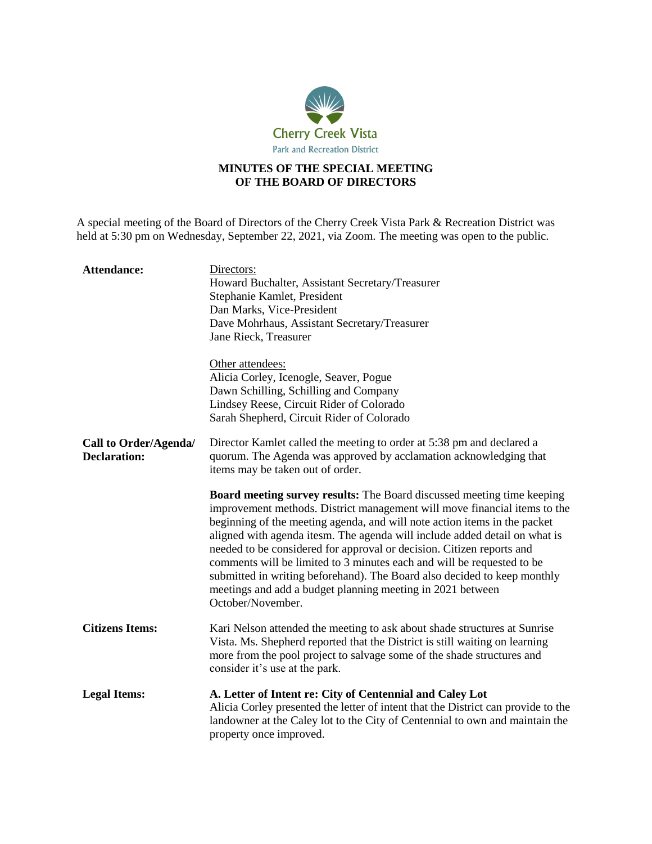

## **MINUTES OF THE SPECIAL MEETING OF THE BOARD OF DIRECTORS**

A special meeting of the Board of Directors of the Cherry Creek Vista Park & Recreation District was held at 5:30 pm on Wednesday, September 22, 2021, via Zoom. The meeting was open to the public.

| <b>Attendance:</b>                           | Directors:<br>Howard Buchalter, Assistant Secretary/Treasurer<br>Stephanie Kamlet, President<br>Dan Marks, Vice-President<br>Dave Mohrhaus, Assistant Secretary/Treasurer<br>Jane Rieck, Treasurer                                                                                                                                                                                                                                                                                                                                                                                                                                      |
|----------------------------------------------|-----------------------------------------------------------------------------------------------------------------------------------------------------------------------------------------------------------------------------------------------------------------------------------------------------------------------------------------------------------------------------------------------------------------------------------------------------------------------------------------------------------------------------------------------------------------------------------------------------------------------------------------|
|                                              | Other attendees:<br>Alicia Corley, Icenogle, Seaver, Pogue<br>Dawn Schilling, Schilling and Company<br>Lindsey Reese, Circuit Rider of Colorado<br>Sarah Shepherd, Circuit Rider of Colorado                                                                                                                                                                                                                                                                                                                                                                                                                                            |
| Call to Order/Agenda/<br><b>Declaration:</b> | Director Kamlet called the meeting to order at 5:38 pm and declared a<br>quorum. The Agenda was approved by acclamation acknowledging that<br>items may be taken out of order.                                                                                                                                                                                                                                                                                                                                                                                                                                                          |
|                                              | <b>Board meeting survey results:</b> The Board discussed meeting time keeping<br>improvement methods. District management will move financial items to the<br>beginning of the meeting agenda, and will note action items in the packet<br>aligned with agenda itesm. The agenda will include added detail on what is<br>needed to be considered for approval or decision. Citizen reports and<br>comments will be limited to 3 minutes each and will be requested to be<br>submitted in writing beforehand). The Board also decided to keep monthly<br>meetings and add a budget planning meeting in 2021 between<br>October/November. |
| <b>Citizens Items:</b>                       | Kari Nelson attended the meeting to ask about shade structures at Sunrise<br>Vista. Ms. Shepherd reported that the District is still waiting on learning<br>more from the pool project to salvage some of the shade structures and<br>consider it's use at the park.                                                                                                                                                                                                                                                                                                                                                                    |
| <b>Legal Items:</b>                          | A. Letter of Intent re: City of Centennial and Caley Lot<br>Alicia Corley presented the letter of intent that the District can provide to the<br>landowner at the Caley lot to the City of Centennial to own and maintain the<br>property once improved.                                                                                                                                                                                                                                                                                                                                                                                |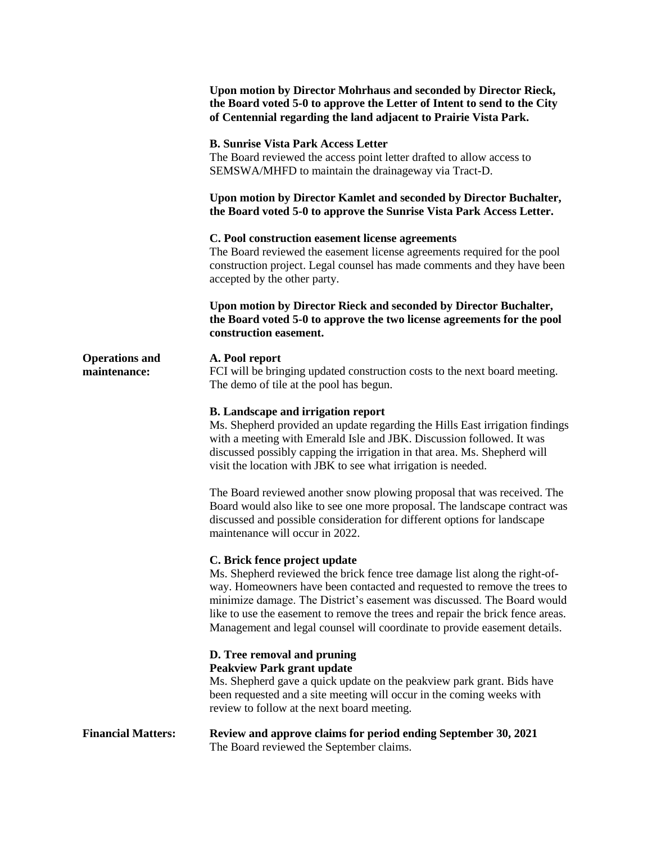|                                       | Upon motion by Director Mohrhaus and seconded by Director Rieck,<br>the Board voted 5-0 to approve the Letter of Intent to send to the City<br>of Centennial regarding the land adjacent to Prairie Vista Park.                                                                                                                                                                                                                   |
|---------------------------------------|-----------------------------------------------------------------------------------------------------------------------------------------------------------------------------------------------------------------------------------------------------------------------------------------------------------------------------------------------------------------------------------------------------------------------------------|
|                                       | <b>B. Sunrise Vista Park Access Letter</b><br>The Board reviewed the access point letter drafted to allow access to<br>SEMSWA/MHFD to maintain the drainageway via Tract-D.                                                                                                                                                                                                                                                       |
|                                       | Upon motion by Director Kamlet and seconded by Director Buchalter,<br>the Board voted 5-0 to approve the Sunrise Vista Park Access Letter.                                                                                                                                                                                                                                                                                        |
|                                       | C. Pool construction easement license agreements<br>The Board reviewed the easement license agreements required for the pool<br>construction project. Legal counsel has made comments and they have been<br>accepted by the other party.                                                                                                                                                                                          |
|                                       | Upon motion by Director Rieck and seconded by Director Buchalter,<br>the Board voted 5-0 to approve the two license agreements for the pool<br>construction easement.                                                                                                                                                                                                                                                             |
| <b>Operations and</b><br>maintenance: | A. Pool report<br>FCI will be bringing updated construction costs to the next board meeting.<br>The demo of tile at the pool has begun.                                                                                                                                                                                                                                                                                           |
|                                       | <b>B.</b> Landscape and irrigation report<br>Ms. Shepherd provided an update regarding the Hills East irrigation findings<br>with a meeting with Emerald Isle and JBK. Discussion followed. It was<br>discussed possibly capping the irrigation in that area. Ms. Shepherd will<br>visit the location with JBK to see what irrigation is needed.                                                                                  |
|                                       | The Board reviewed another snow plowing proposal that was received. The<br>Board would also like to see one more proposal. The landscape contract was<br>discussed and possible consideration for different options for landscape<br>maintenance will occur in 2022.                                                                                                                                                              |
|                                       | C. Brick fence project update<br>Ms. Shepherd reviewed the brick fence tree damage list along the right-of-<br>way. Homeowners have been contacted and requested to remove the trees to<br>minimize damage. The District's easement was discussed. The Board would<br>like to use the easement to remove the trees and repair the brick fence areas.<br>Management and legal counsel will coordinate to provide easement details. |
|                                       | D. Tree removal and pruning<br><b>Peakview Park grant update</b><br>Ms. Shepherd gave a quick update on the peakview park grant. Bids have<br>been requested and a site meeting will occur in the coming weeks with<br>review to follow at the next board meeting.                                                                                                                                                                |
| <b>Financial Matters:</b>             | Review and approve claims for period ending September 30, 2021<br>The Board reviewed the September claims.                                                                                                                                                                                                                                                                                                                        |